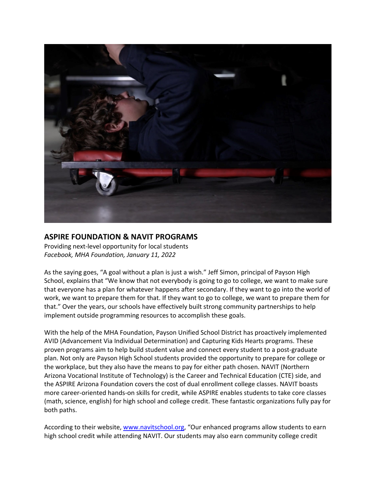

## **ASPIRE FOUNDATION & NAVIT PROGRAMS**

Providing next‐level opportunity for local students *Facebook, MHA Foundation, January 11, 2022*

As the saying goes, "A goal without a plan is just a wish." Jeff Simon, principal of Payson High School, explains that "We know that not everybody is going to go to college, we want to make sure that everyone has a plan for whatever happens after secondary. If they want to go into the world of work, we want to prepare them for that. If they want to go to college, we want to prepare them for that." Over the years, our schools have effectively built strong community partnerships to help implement outside programming resources to accomplish these goals.

With the help of the MHA Foundation, Payson Unified School District has proactively implemented AVID (Advancement Via Individual Determination) and Capturing Kids Hearts programs. These proven programs aim to help build student value and connect every student to a post‐graduate plan. Not only are Payson High School students provided the opportunity to prepare for college or the workplace, but they also have the means to pay for either path chosen. NAVIT (Northern Arizona Vocational Institute of Technology) is the Career and Technical Education (CTE) side, and the ASPIRE Arizona Foundation covers the cost of dual enrollment college classes. NAVIT boasts more career‐oriented hands‐on skills for credit, while ASPIRE enables students to take core classes (math, science, english) for high school and college credit. These fantastic organizations fully pay for both paths.

According to their website, www.navitschool.org, "Our enhanced programs allow students to earn high school credit while attending NAVIT. Our students may also earn community college credit